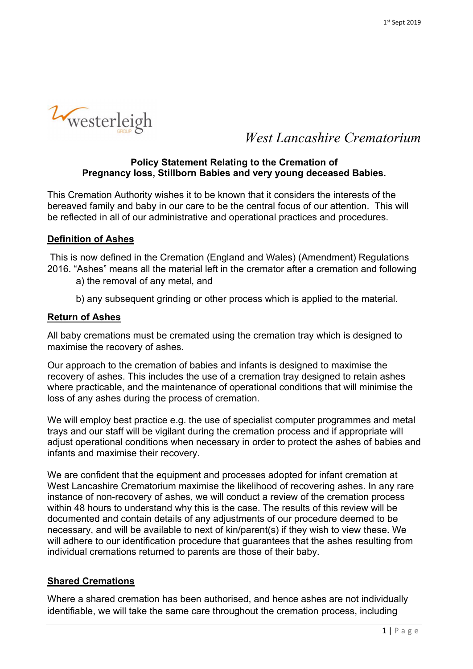

*West Lancashire Crematorium*

### **Policy Statement Relating to the Cremation of Pregnancy loss, Stillborn Babies and very young deceased Babies.**

This Cremation Authority wishes it to be known that it considers the interests of the bereaved family and baby in our care to be the central focus of our attention. This will be reflected in all of our administrative and operational practices and procedures.

# **Definition of Ashes**

 This is now defined in the Cremation (England and Wales) (Amendment) Regulations 2016. "Ashes" means all the material left in the cremator after a cremation and following

a) the removal of any metal, and

b) any subsequent grinding or other process which is applied to the material.

## **Return of Ashes**

All baby cremations must be cremated using the cremation tray which is designed to maximise the recovery of ashes.

Our approach to the cremation of babies and infants is designed to maximise the recovery of ashes. This includes the use of a cremation tray designed to retain ashes where practicable, and the maintenance of operational conditions that will minimise the loss of any ashes during the process of cremation.

We will employ best practice e.g. the use of specialist computer programmes and metal trays and our staff will be vigilant during the cremation process and if appropriate will adjust operational conditions when necessary in order to protect the ashes of babies and infants and maximise their recovery.

We are confident that the equipment and processes adopted for infant cremation at West Lancashire Crematorium maximise the likelihood of recovering ashes. In any rare instance of non-recovery of ashes, we will conduct a review of the cremation process within 48 hours to understand why this is the case. The results of this review will be documented and contain details of any adjustments of our procedure deemed to be necessary, and will be available to next of kin/parent(s) if they wish to view these. We will adhere to our identification procedure that guarantees that the ashes resulting from individual cremations returned to parents are those of their baby.

## **Shared Cremations**

Where a shared cremation has been authorised, and hence ashes are not individually identifiable, we will take the same care throughout the cremation process, including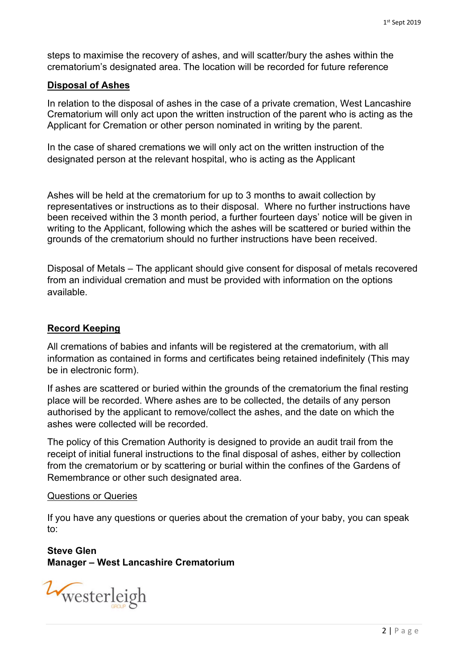steps to maximise the recovery of ashes, and will scatter/bury the ashes within the crematorium's designated area. The location will be recorded for future reference

### **Disposal of Ashes**

In relation to the disposal of ashes in the case of a private cremation, West Lancashire Crematorium will only act upon the written instruction of the parent who is acting as the Applicant for Cremation or other person nominated in writing by the parent.

In the case of shared cremations we will only act on the written instruction of the designated person at the relevant hospital, who is acting as the Applicant

Ashes will be held at the crematorium for up to 3 months to await collection by representatives or instructions as to their disposal. Where no further instructions have been received within the 3 month period, a further fourteen days' notice will be given in writing to the Applicant, following which the ashes will be scattered or buried within the grounds of the crematorium should no further instructions have been received.

Disposal of Metals – The applicant should give consent for disposal of metals recovered from an individual cremation and must be provided with information on the options available.

#### **Record Keeping**

All cremations of babies and infants will be registered at the crematorium, with all information as contained in forms and certificates being retained indefinitely (This may be in electronic form).

If ashes are scattered or buried within the grounds of the crematorium the final resting place will be recorded. Where ashes are to be collected, the details of any person authorised by the applicant to remove/collect the ashes, and the date on which the ashes were collected will be recorded.

The policy of this Cremation Authority is designed to provide an audit trail from the receipt of initial funeral instructions to the final disposal of ashes, either by collection from the crematorium or by scattering or burial within the confines of the Gardens of Remembrance or other such designated area.

#### Questions or Queries

If you have any questions or queries about the cremation of your baby, you can speak to:

**Steve Glen Manager – West Lancashire Crematorium** 

Westerleigh